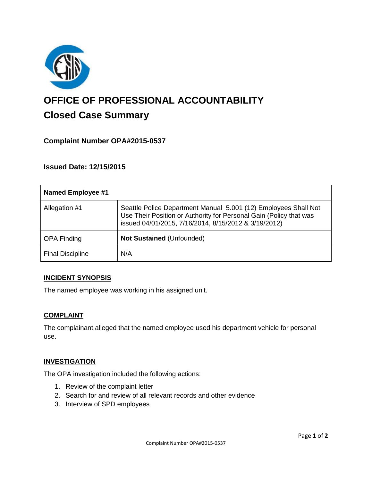

# **OFFICE OF PROFESSIONAL ACCOUNTABILITY Closed Case Summary**

# **Complaint Number OPA#2015-0537**

**Issued Date: 12/15/2015**

| <b>Named Employee #1</b> |                                                                                                                                                                                               |
|--------------------------|-----------------------------------------------------------------------------------------------------------------------------------------------------------------------------------------------|
| Allegation #1            | Seattle Police Department Manual 5.001 (12) Employees Shall Not<br>Use Their Position or Authority for Personal Gain (Policy that was<br>issued 04/01/2015, 7/16/2014, 8/15/2012 & 3/19/2012) |
| <b>OPA Finding</b>       | <b>Not Sustained (Unfounded)</b>                                                                                                                                                              |
| <b>Final Discipline</b>  | N/A                                                                                                                                                                                           |

#### **INCIDENT SYNOPSIS**

The named employee was working in his assigned unit.

#### **COMPLAINT**

The complainant alleged that the named employee used his department vehicle for personal use.

#### **INVESTIGATION**

The OPA investigation included the following actions:

- 1. Review of the complaint letter
- 2. Search for and review of all relevant records and other evidence
- 3. Interview of SPD employees